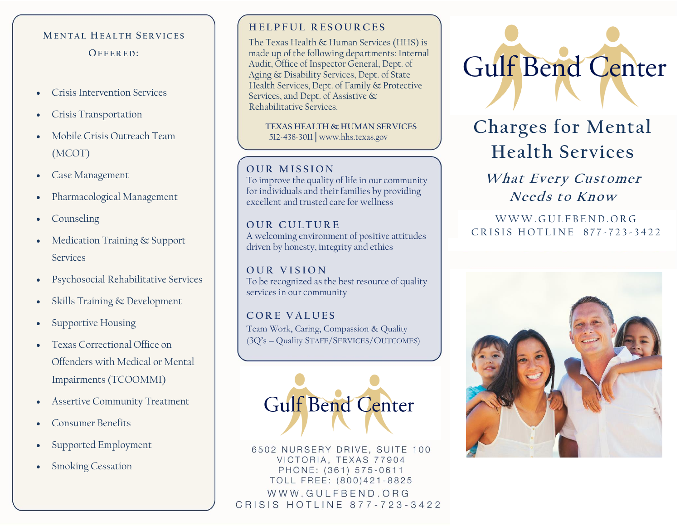## **ME N T A L HE A L T H S E R V I C E S OF F E R E D :**

- Crisis Intervention Services
- Crisis Transportation
- Mobile Crisis Outreach Team (MCOT)
- Case Management
- Pharmacological Management
- Counseling
- Medication Training & Support Services
- Psychosocial Rehabilitative Services
- Skills Training & Development
- Supportive Housing
- Texas Correctional Office on Offenders with Medical or Mental Impairments (TCOOMMI)
- Assertive Community Treatment
- Consumer Benefits
- Supported Employment
- **Smoking Cessation**

## **H E L P F U L R E S O U R C E S**

The Texas Health & Human Services (HHS) is made up of the following departments: [Internal](https://hhs.texas.gov/about-hhs/agencies-departments#internalaudit)  [Audit,](https://hhs.texas.gov/about-hhs/agencies-departments#internalaudit) [Office of Inspector General,](https://hhs.texas.gov/about-hhs/agencies-departments#OfficeofInspectorGeneral) [Dept. of](https://hhs.texas.gov/about-hhs/agencies-departments#dads)  [Aging & Disability Services,](https://hhs.texas.gov/about-hhs/agencies-departments#dads) [Dept. of State](https://hhs.texas.gov/about-hhs/agencies-departments#dshs)  [Health Services,](https://hhs.texas.gov/about-hhs/agencies-departments#dshs) [Dept. of Family & Protective](https://hhs.texas.gov/about-hhs/agencies-departments#dfps)  [Services,](https://hhs.texas.gov/about-hhs/agencies-departments#dfps) an[d Dept. of Assistive &](https://hhs.texas.gov/about-hhs/agencies-departments#dars)  [Rehabilitative Services.](https://hhs.texas.gov/about-hhs/agencies-departments#dars)

 **TEXAS HEALTH & HUMAN SERVICES** 512-438-3011│www.hhs.texas.gov

### **OUR MISSION**

To improve the quality of life in our community for individuals and their families by providing excellent and trusted care for wellness

**OUR CULTURE** A welcoming environment of positive attitudes driven by honesty, integrity and ethics

**O U R V I S I O N** To be recognized as the best resource of quality services in our community

**C O R E V A L U E S** Team Work, Caring, Compassion & Quality (3Q's – Quality STAFF/SERVICES/OUTCOMES)



6502 NURSERY DRIVE, SUITE 100 VICTORIA, TEXAS 77904 PHONE: (361) 575-0611 TOLL FREE: (800)421-8825 WWW.GULFBEND.ORG CRISIS HOTLINE 877-723-3422



# **Charges for Mental Health Services**

**What Every Customer Needs to Know**

W W W GULFBEND ORG CRISIS HOTLINE 877-723-3422